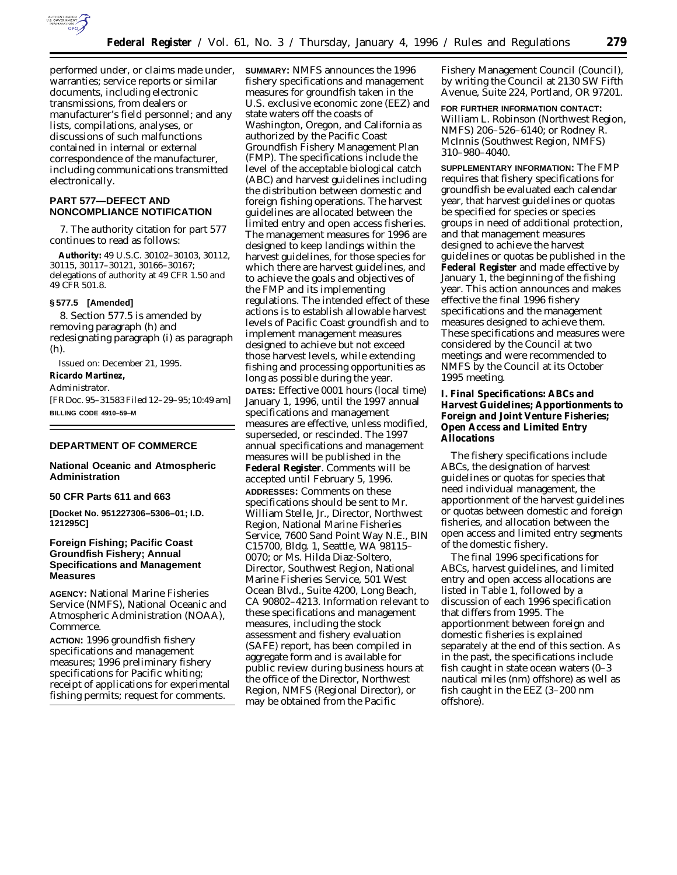

performed under, or claims made under, warranties; service reports or similar documents, including electronic transmissions, from dealers or manufacturer's field personnel; and any lists, compilations, analyses, or discussions of such malfunctions contained in internal or external correspondence of the manufacturer, including communications transmitted electronically.

# **PART 577—DEFECT AND NONCOMPLIANCE NOTIFICATION**

7. The authority citation for part 577 continues to read as follows:

**Authority:** 49 U.S.C. 30102–30103, 30112, 30115, 30117–30121, 30166–30167; delegations of authority at 49 CFR 1.50 and 49 CFR 501.8.

### **§ 577.5 [Amended]**

8. Section 577.5 is amended by removing paragraph (h) and redesignating paragraph (i) as paragraph (h).

Issued on: December 21, 1995. **Ricardo Martinez,**

*Administrator.*

[FR Doc. 95–31583 Filed 12–29–95; 10:49 am]

# **BILLING CODE 4910–59–M**

# **DEPARTMENT OF COMMERCE**

## **National Oceanic and Atmospheric Administration**

## **50 CFR Parts 611 and 663**

**[Docket No. 951227306–5306–01; I.D. 121295C]**

# **Foreign Fishing; Pacific Coast Groundfish Fishery; Annual Specifications and Management Measures**

**AGENCY:** National Marine Fisheries Service (NMFS), National Oceanic and Atmospheric Administration (NOAA), Commerce.

**ACTION:** 1996 groundfish fishery specifications and management measures; 1996 preliminary fishery specifications for Pacific whiting; receipt of applications for experimental fishing permits; request for comments.

**SUMMARY:** NMFS announces the 1996 fishery specifications and management measures for groundfish taken in the U.S. exclusive economic zone (EEZ) and state waters off the coasts of Washington, Oregon, and California as authorized by the Pacific Coast Groundfish Fishery Management Plan (FMP). The specifications include the level of the acceptable biological catch (ABC) and harvest guidelines including the distribution between domestic and foreign fishing operations. The harvest guidelines are allocated between the limited entry and open access fisheries. The management measures for 1996 are designed to keep landings within the harvest guidelines, for those species for which there are harvest guidelines, and to achieve the goals and objectives of the FMP and its implementing regulations. The intended effect of these actions is to establish allowable harvest levels of Pacific Coast groundfish and to implement management measures designed to achieve but not exceed those harvest levels, while extending fishing and processing opportunities as long as possible during the year. **DATES:** Effective 0001 hours (local time) January 1, 1996, until the 1997 annual specifications and management measures are effective, unless modified, superseded, or rescinded. The 1997 annual specifications and management measures will be published in the **Federal Register**. Comments will be accepted until February 5, 1996. **ADDRESSES:** Comments on these specifications should be sent to Mr. William Stelle, Jr., Director, Northwest Region, National Marine Fisheries Service, 7600 Sand Point Way N.E., BIN C15700, Bldg. 1, Seattle, WA 98115– 0070; or Ms. Hilda Diaz-Soltero, Director, Southwest Region, National Marine Fisheries Service, 501 West Ocean Blvd., Suite 4200, Long Beach, CA 90802–4213. Information relevant to these specifications and management measures, including the stock assessment and fishery evaluation (SAFE) report, has been compiled in aggregate form and is available for public review during business hours at the office of the Director, Northwest Region, NMFS (Regional Director), or may be obtained from the Pacific

Fishery Management Council (Council), by writing the Council at 2130 SW Fifth Avenue, Suite 224, Portland, OR 97201.

**FOR FURTHER INFORMATION CONTACT:** William L. Robinson (Northwest Region, NMFS) 206–526–6140; or Rodney R. McInnis (Southwest Region, NMFS) 310–980–4040.

**SUPPLEMENTARY INFORMATION:** The FMP requires that fishery specifications for groundfish be evaluated each calendar year, that harvest guidelines or quotas be specified for species or species groups in need of additional protection, and that management measures designed to achieve the harvest guidelines or quotas be published in the **Federal Register** and made effective by January 1, the beginning of the fishing year. This action announces and makes effective the final 1996 fishery specifications and the management measures designed to achieve them. These specifications and measures were considered by the Council at two meetings and were recommended to NMFS by the Council at its October 1995 meeting.

**I. Final Specifications: ABCs and Harvest Guidelines; Apportionments to Foreign and Joint Venture Fisheries; Open Access and Limited Entry Allocations**

The fishery specifications include ABCs, the designation of harvest guidelines or quotas for species that need individual management, the apportionment of the harvest guidelines or quotas between domestic and foreign fisheries, and allocation between the open access and limited entry segments of the domestic fishery.

The final 1996 specifications for ABCs, harvest guidelines, and limited entry and open access allocations are listed in Table 1, followed by a discussion of each 1996 specification that differs from 1995. The apportionment between foreign and domestic fisheries is explained separately at the end of this section. As in the past, the specifications include fish caught in state ocean waters (0–3 nautical miles (nm) offshore) as well as fish caught in the EEZ (3–200 nm offshore).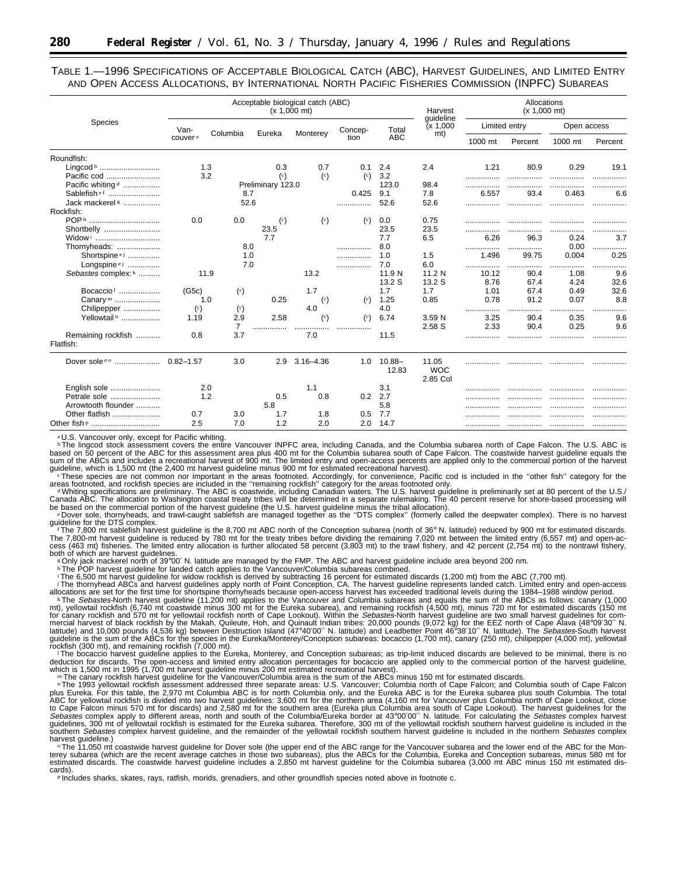TABLE 1.—1996 SPECIFICATIONS OF ACCEPTABLE BIOLOGICAL CATCH (ABC), HARVEST GUIDELINES, AND LIMITED ENTRY AND OPEN ACCESS ALLOCATIONS, BY INTERNATIONAL NORTH PACIFIC FISHERIES COMMISSION (INPFC) SUBAREAS

| <b>Species</b>                                                            |                                |                                         | Acceptable biological catch (ABC)<br>$(x 1,000 \text{ mt})$ | Harvest                       | Allocations<br>$(x 1,000$ mt) |                               |                                 |                   |                   |                       |                               |
|---------------------------------------------------------------------------|--------------------------------|-----------------------------------------|-------------------------------------------------------------|-------------------------------|-------------------------------|-------------------------------|---------------------------------|-------------------|-------------------|-----------------------|-------------------------------|
|                                                                           | Van-                           | Columbia                                |                                                             |                               | Concep-<br>tion               | Total<br><b>ABC</b>           | quideline<br>(x 1,000)<br>mt)   | Limited entry     |                   | Open access           |                               |
|                                                                           | couver <sup>a</sup>            |                                         | Eureka                                                      | Monterey                      |                               |                               |                                 | 1000 mt           | Percent           | 1000 mt               | Percent                       |
| Roundfish:<br>Lingcod b<br>Pacific cod                                    |                                | 1.3<br>3.2                              | 0.3<br>$\binom{c}{c}$                                       | 0.7<br>$\left( \circ \right)$ | 0.1<br>$\left( \circ \right)$ | 2.4<br>3.2                    | 2.4                             | 1.21              | 80.9              | 0.29                  | 19.1                          |
| Pacific whiting <sup>d</sup><br>Sablefishef<br>Jack mackerel <sup>g</sup> | 8.7<br>52.6                    |                                         |                                                             | Preliminary 123.0             |                               | 123.0<br>9.1<br>0.425<br>52.6 | 98.4<br>7.8<br>52.6             | 6.557             | 93.4              | 0.463                 | 6.6                           |
| Rockfish:<br>POP <sup>h</sup><br>Shortbelly                               | 0.0                            | 0.0                                     | $\left( \circ \right)$<br>23.5                              | $\left( \circ \right)$        | $\left( \circ \right)$        | 0.0<br>23.5                   | 0.75<br>23.5                    |                   |                   |                       |                               |
| Widow <sup>i</sup><br>Thornyheads:<br>Shortspine <sup>ej</sup>            |                                | 8.0<br>1.0                              | 7.7                                                         |                               |                               | 7.7<br>8.0<br>1.0             | 6.5<br>1.5                      | 6.26<br><br>1.496 | 96.3<br><br>99.75 | 0.24<br>0.00<br>0.004 | 3.7<br>1.1.1.1.1<br>.<br>0.25 |
| Longspine ej<br>Sebastes complex: k                                       |                                | 7.0<br>11.9                             |                                                             | 13.2                          |                               | 7.0<br>11.9 N<br>13.2 S       | 6.0<br>11.2 N<br>13.2 S         | <br>10.12<br>8.76 | .<br>90.4<br>67.4 | 1.08<br>4.24          | 9.6<br>32.6                   |
| Bocaccio <sup>1</sup><br>Canary m                                         | (G5c)                          | $\left( \circ \right)$<br>1.0           | 0.25                                                        | 1.7<br>$\left( \circ \right)$ | $\left( \circ \right)$        | 1.7<br>1.25                   | 1.7<br>0.85                     | 1.01<br>0.78      | 67.4<br>91.2      | 0.49<br>0.07          | 32.6<br>8.8                   |
| Chilipepper<br>Yellowtail <sup>n</sup>                                    | $\left( \circ \right)$<br>1.19 | $\binom{c}{c}$<br>2.9<br>$\overline{7}$ | 2.58                                                        | 4.0<br>(c)                    | (c)<br>                       | 4.0<br>6.74                   | 3.59 N<br>2.58 S                | .<br>3.25<br>2.33 | <br>90.4<br>90.4  | 0.35<br>0.25          | 9.6<br>9.6                    |
| Remaining rockfish<br>Flatfish:                                           | 0.8                            | 3.7                                     |                                                             | 7.0                           |                               | 11.5                          |                                 |                   |                   |                       |                               |
| Dover sole e o  0.82-1.57                                                 |                                | 3.0                                     | 2.9                                                         | $3.16 - 4.36$                 | 1.0                           | $10.88 -$<br>12.83            | 11.05<br><b>WOC</b><br>2.85 Col |                   |                   |                       |                               |
| English sole<br>Petrale sole<br>Arrowtooth flounder                       |                                | 2.0<br>1.2                              | 0.5<br>5.8                                                  | 1.1<br>0.8                    | 0.2                           | 3.1<br>2.7<br>5.8             |                                 |                   |                   |                       |                               |
| Other flatfish<br>Other fish p                                            | 0.7<br>2.5                     | 3.0<br>7.0                              | 1.7<br>1.2                                                  | 1.8<br>2.0                    | 0.5<br>2.0                    | 7.7<br>14.7                   |                                 |                   | .                 | .                     |                               |

a U.S. Vancouver only, except for Pacific whiting.

bThe lingcod stock assessment covers the entire Vancouver INPFC area, including Canada, and the Columbia subarea north of Cape Falcon. The U.S. ABC is based on 50 percent of the ABC for this assessment area plus 400 mt fo

guideline, which is 1,500 mt (the 2,400 mt harvest guideline minus 900 mt for estimated recreational harvest).<br>These species are not common nor important in the areas footnoted. Accordingly, for convenience, Pacific cod is

areas footnoted, and rockfish species are included in the ''remaining rockfish'' category for the areas footnoted only.<br>- «Whiting specifications are preliminary. The ABC is coastwide, including Canadian waters. The U.S.

be based on the commercial portion of the harvest guideline (the U.S. harvest guideline minus the tribal allocation).<br>
e Dover sole, thornyheads, and trawl-caught sablefish are managed together as the "DTS complex" (former

The 7,800 mt sablefish harvest guideline is the 8,700 mt ABC north of the Conception subarea (north of 36° N. latitude) reduced by 900 mt for estimated discards. The 7,800-mt harvest guideline is reduced by 780 mt for the treaty tribes before dividing the remaining 7,020 mt between the limited entry (6,557 mt) and open-ac-<br>cess (463 mt) fisheries. The limited entry allocation is fu both of which are harvest guidelines.<br><sup>»</sup> Only jack mackerel north of 39°00′ N. latitude are managed by the FMP. The ABC and harvest guideline include area beyond 200 nm.<br><sup>»</sup> The POP harvest guideline for landed catch appl

The thomyhead ABCs and havest guidelines apply north of Foint Conception, CA. The havest guideline represents landed catch. Limited entry and oper-access haves the secessed traditional levels during the 1984–1988 window pe

plus Eureka. For this table, the 2,970 mt Columbia ABC is for north Columbia only, and the Eureka ABC is for the Eureka subarea plus south Columbia. The total<br>ABC for yellowial rockfish is divided into two harvest guidelin

harvest guideline.)<br>· The 11,050 mt coastwide harvest guideline for Dover sole (the upper end of the ABC range for the Vancouver subarea and the lower end of the ABC for the Mon-<br>terey subarea (which are the recent averag cards). <sup>p</sup> Includes sharks, skates, rays, ratfish, morids, grenadiers, and other groundfish species noted above in footnote c.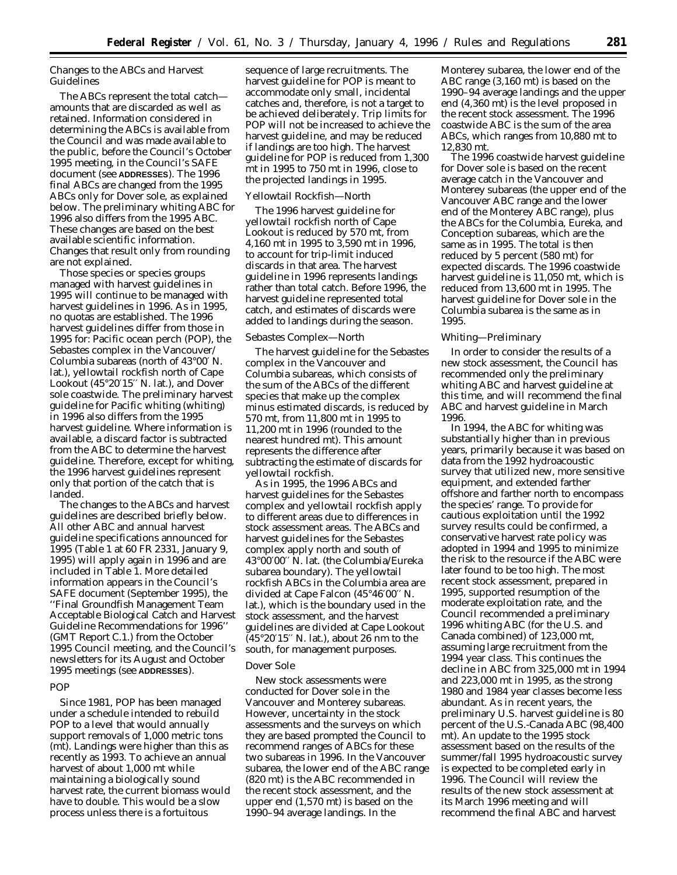# *Changes to the ABCs and Harvest Guidelines*

The ABCs represent the total catch amounts that are discarded as well as retained. Information considered in determining the ABCs is available from the Council and was made available to the public, before the Council's October 1995 meeting, in the Council's SAFE document (see **ADDRESSES**). The 1996 final ABCs are changed from the 1995 ABCs only for Dover sole, as explained below. The preliminary whiting ABC for 1996 also differs from the 1995 ABC. These changes are based on the best available scientific information. Changes that result only from rounding are not explained.

Those species or species groups managed with harvest guidelines in 1995 will continue to be managed with harvest guidelines in 1996. As in 1995, no quotas are established. The 1996 harvest guidelines differ from those in 1995 for: Pacific ocean perch (POP), the *Sebastes* complex in the Vancouver/ Columbia subareas (north of 43°00′ N. lat.), yellowtail rockfish north of Cape Lookout (45°20′15′′ N. lat.), and Dover sole coastwide. The preliminary harvest guideline for Pacific whiting (whiting) in 1996 also differs from the 1995 harvest guideline. Where information is available, a discard factor is subtracted from the ABC to determine the harvest guideline. Therefore, except for whiting, the 1996 harvest guidelines represent only that portion of the catch that is landed.

The changes to the ABCs and harvest guidelines are described briefly below. All other ABC and annual harvest guideline specifications announced for 1995 (Table 1 at 60 FR 2331, January 9, 1995) will apply again in 1996 and are included in Table 1. More detailed information appears in the Council's SAFE document (September 1995), the ''Final Groundfish Management Team Acceptable Biological Catch and Harvest Guideline Recommendations for 1996'' (GMT Report C.1.) from the October 1995 Council meeting, and the Council's newsletters for its August and October 1995 meetings (see **ADDRESSES**).

#### *POP*

Since 1981, POP has been managed under a schedule intended to rebuild POP to a level that would annually support removals of 1,000 metric tons (mt). Landings were higher than this as recently as 1993. To achieve an annual harvest of about 1,000 mt while maintaining a biologically sound harvest rate, the current biomass would have to double. This would be a slow process unless there is a fortuitous

sequence of large recruitments. The harvest guideline for POP is meant to accommodate only small, incidental catches and, therefore, is not a target to be achieved deliberately. Trip limits for POP will not be increased to achieve the harvest guideline, and may be reduced if landings are too high. The harvest guideline for POP is reduced from 1,300 mt in 1995 to 750 mt in 1996, close to the projected landings in 1995.

#### *Yellowtail Rockfish—North*

The 1996 harvest guideline for yellowtail rockfish north of Cape Lookout is reduced by 570 mt, from 4,160 mt in 1995 to 3,590 mt in 1996, to account for trip-limit induced discards in that area. The harvest guideline in 1996 represents landings rather than total catch. Before 1996, the harvest guideline represented total catch, and estimates of discards were added to landings during the season.

#### *Sebastes Complex—North*

The harvest guideline for the Sebastes complex in the Vancouver and Columbia subareas, which consists of the sum of the ABCs of the different species that make up the complex minus estimated discards, is reduced by 570 mt, from 11,800 mt in 1995 to 11,200 mt in 1996 (rounded to the nearest hundred mt). This amount represents the difference after subtracting the estimate of discards for yellowtail rockfish.

As in 1995, the 1996 ABCs and harvest guidelines for the *Sebastes* complex and yellowtail rockfish apply to different areas due to differences in stock assessment areas. The ABCs and harvest guidelines for the *Sebastes* complex apply north and south of 43°00′00′′ N. lat. (the Columbia/Eureka subarea boundary). The yellowtail rockfish ABCs in the Columbia area are divided at Cape Falcon (45°46′00′′ N. lat.), which is the boundary used in the stock assessment, and the harvest guidelines are divided at Cape Lookout  $(45°20'15''$  N. lat.), about 26 nm to the south, for management purposes.

### *Dover Sole*

New stock assessments were conducted for Dover sole in the Vancouver and Monterey subareas. However, uncertainty in the stock assessments and the surveys on which they are based prompted the Council to recommend ranges of ABCs for these two subareas in 1996. In the Vancouver subarea, the lower end of the ABC range (820 mt) is the ABC recommended in the recent stock assessment, and the upper end (1,570 mt) is based on the 1990–94 average landings. In the

Monterey subarea, the lower end of the ABC range (3,160 mt) is based on the 1990–94 average landings and the upper end (4,360 mt) is the level proposed in the recent stock assessment. The 1996 coastwide ABC is the sum of the area ABCs, which ranges from 10,880 mt to 12,830 mt.

The 1996 coastwide harvest guideline for Dover sole is based on the recent average catch in the Vancouver and Monterey subareas (the upper end of the Vancouver ABC range and the lower end of the Monterey ABC range), plus the ABCs for the Columbia, Eureka, and Conception subareas, which are the same as in 1995. The total is then reduced by 5 percent (580 mt) for expected discards. The 1996 coastwide harvest guideline is 11,050 mt, which is reduced from 13,600 mt in 1995. The harvest guideline for Dover sole in the Columbia subarea is the same as in 1995.

#### *Whiting—Preliminary*

In order to consider the results of a new stock assessment, the Council has recommended only the preliminary whiting ABC and harvest guideline at this time, and will recommend the final ABC and harvest guideline in March 1996.

In 1994, the ABC for whiting was substantially higher than in previous years, primarily because it was based on data from the 1992 hydroacoustic survey that utilized new, more sensitive equipment, and extended farther offshore and farther north to encompass the species' range. To provide for cautious exploitation until the 1992 survey results could be confirmed, a conservative harvest rate policy was adopted in 1994 and 1995 to minimize the risk to the resource if the ABC were later found to be too high. The most recent stock assessment, prepared in 1995, supported resumption of the moderate exploitation rate, and the Council recommended a preliminary 1996 whiting ABC (for the U.S. and Canada combined) of 123,000 mt, assuming large recruitment from the 1994 year class. This continues the decline in ABC from 325,000 mt in 1994 and 223,000 mt in 1995, as the strong 1980 and 1984 year classes become less abundant. As in recent years, the preliminary U.S. harvest guideline is 80 percent of the U.S.-Canada ABC (98,400 mt). An update to the 1995 stock assessment based on the results of the summer/fall 1995 hydroacoustic survey is expected to be completed early in 1996. The Council will review the results of the new stock assessment at its March 1996 meeting and will recommend the final ABC and harvest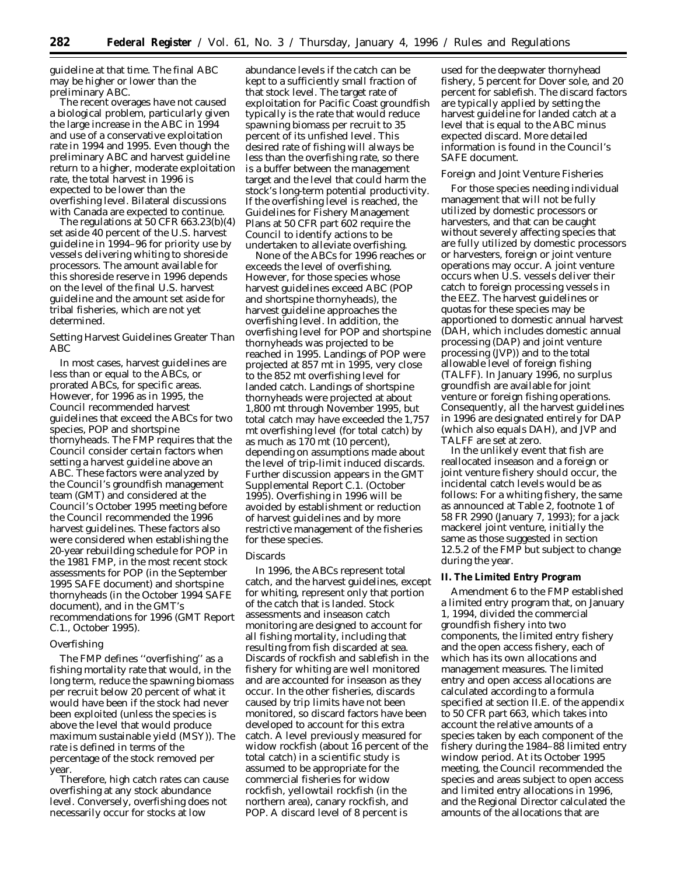guideline at that time. The final ABC may be higher or lower than the preliminary ABC.

The recent overages have not caused a biological problem, particularly given the large increase in the ABC in 1994 and use of a conservative exploitation rate in 1994 and 1995. Even though the preliminary ABC and harvest guideline return to a higher, moderate exploitation rate, the total harvest in 1996 is expected to be lower than the overfishing level. Bilateral discussions with Canada are expected to continue.

The regulations at 50 CFR 663.23(b)(4) set aside 40 percent of the U.S. harvest guideline in 1994–96 for priority use by vessels delivering whiting to shoreside processors. The amount available for this shoreside reserve in 1996 depends on the level of the final U.S. harvest guideline and the amount set aside for tribal fisheries, which are not yet determined.

## *Setting Harvest Guidelines Greater Than ABC*

In most cases, harvest guidelines are less than or equal to the ABCs, or prorated ABCs, for specific areas. However, for 1996 as in 1995, the Council recommended harvest guidelines that exceed the ABCs for two species, POP and shortspine thornyheads. The FMP requires that the Council consider certain factors when setting a harvest guideline above an ABC. These factors were analyzed by the Council's groundfish management team (GMT) and considered at the Council's October 1995 meeting before the Council recommended the 1996 harvest guidelines. These factors also were considered when establishing the 20-year rebuilding schedule for POP in the 1981 FMP, in the most recent stock assessments for POP (in the September 1995 SAFE document) and shortspine thornyheads (in the October 1994 SAFE document), and in the GMT's recommendations for 1996 (GMT Report C.1., October 1995).

## *Overfishing*

The FMP defines ''overfishing'' as a fishing mortality rate that would, in the long term, reduce the spawning biomass per recruit below 20 percent of what it would have been if the stock had never been exploited (unless the species is above the level that would produce maximum sustainable yield (MSY)). The rate is defined in terms of the percentage of the stock removed per year.

Therefore, high catch rates can cause overfishing at any stock abundance level. Conversely, overfishing does not necessarily occur for stocks at low

abundance levels if the catch can be kept to a sufficiently small fraction of that stock level. The target rate of exploitation for Pacific Coast groundfish typically is the rate that would reduce spawning biomass per recruit to 35 percent of its unfished level. This desired rate of fishing will always be less than the overfishing rate, so there is a buffer between the management target and the level that could harm the stock's long-term potential productivity. If the overfishing level is reached, the Guidelines for Fishery Management Plans at 50 CFR part 602 require the Council to identify actions to be undertaken to alleviate overfishing.

None of the ABCs for 1996 reaches or exceeds the level of overfishing. However, for those species whose harvest guidelines exceed ABC (POP and shortspine thornyheads), the harvest guideline approaches the overfishing level. In addition, the overfishing level for POP and shortspine thornyheads was projected to be reached in 1995. Landings of POP were projected at 857 mt in 1995, very close to the 852 mt overfishing level for landed catch. Landings of shortspine thornyheads were projected at about 1,800 mt through November 1995, but total catch may have exceeded the 1,757 mt overfishing level (for total catch) by as much as 170 mt (10 percent), depending on assumptions made about the level of trip-limit induced discards. Further discussion appears in the GMT Supplemental Report C.1. (October 1995). Overfishing in 1996 will be avoided by establishment or reduction of harvest guidelines and by more restrictive management of the fisheries for these species.

### *Discards*

In 1996, the ABCs represent total catch, and the harvest guidelines, except for whiting, represent only that portion of the catch that is landed. Stock assessments and inseason catch monitoring are designed to account for all fishing mortality, including that resulting from fish discarded at sea. Discards of rockfish and sablefish in the fishery for whiting are well monitored and are accounted for inseason as they occur. In the other fisheries, discards caused by trip limits have not been monitored, so discard factors have been developed to account for this extra catch. A level previously measured for widow rockfish (about 16 percent of the total catch) in a scientific study is assumed to be appropriate for the commercial fisheries for widow rockfish, yellowtail rockfish (in the northern area), canary rockfish, and POP. A discard level of 8 percent is

used for the deepwater thornyhead fishery, 5 percent for Dover sole, and 20 percent for sablefish. The discard factors are typically applied by setting the harvest guideline for landed catch at a level that is equal to the ABC minus expected discard. More detailed information is found in the Council's SAFE document.

# *Foreign and Joint Venture Fisheries*

For those species needing individual management that will not be fully utilized by domestic processors or harvesters, and that can be caught without severely affecting species that are fully utilized by domestic processors or harvesters, foreign or joint venture operations may occur. A joint venture occurs when U.S. vessels deliver their catch to foreign processing vessels in the EEZ. The harvest guidelines or quotas for these species may be apportioned to domestic annual harvest (DAH, which includes domestic annual processing (DAP) and joint venture processing (JVP)) and to the total allowable level of foreign fishing (TALFF). In January 1996, no surplus groundfish are available for joint venture or foreign fishing operations. Consequently, all the harvest guidelines in 1996 are designated entirely for DAP (which also equals DAH), and JVP and TALFF are set at zero.

In the unlikely event that fish are reallocated inseason and a foreign or joint venture fishery should occur, the incidental catch levels would be as follows: For a whiting fishery, the same as announced at Table 2, footnote 1 of 58 FR 2990 (January 7, 1993); for a jack mackerel joint venture, initially the same as those suggested in section 12.5.2 of the FMP but subject to change during the year.

### **II. The Limited Entry Program**

Amendment 6 to the FMP established a limited entry program that, on January 1, 1994, divided the commercial groundfish fishery into two components, the limited entry fishery and the open access fishery, each of which has its own allocations and management measures. The limited entry and open access allocations are calculated according to a formula specified at section II.E. of the appendix to 50 CFR part 663, which takes into account the relative amounts of a species taken by each component of the fishery during the 1984–88 limited entry window period. At its October 1995 meeting, the Council recommended the species and areas subject to open access and limited entry allocations in 1996, and the Regional Director calculated the amounts of the allocations that are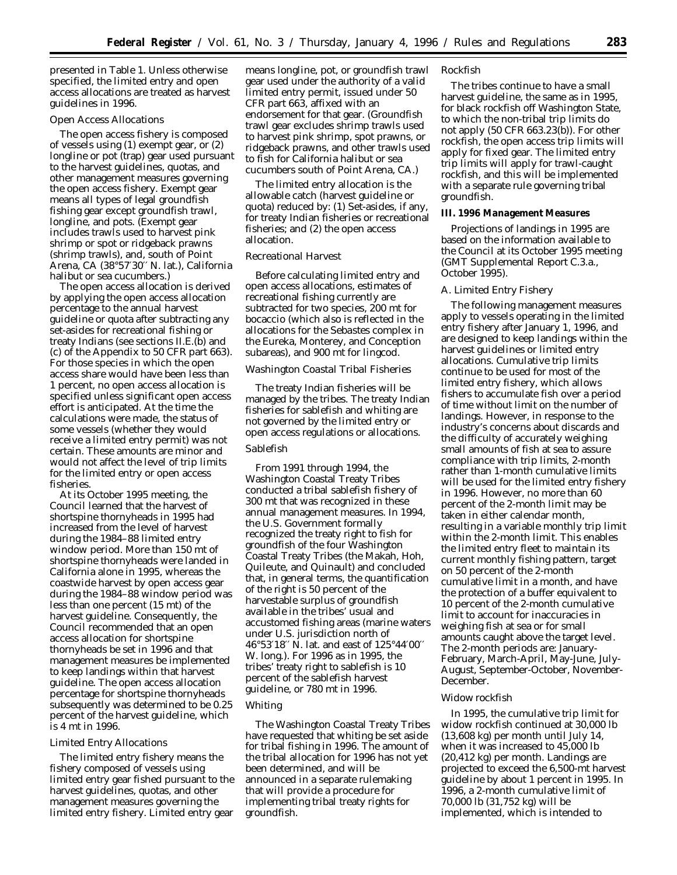presented in Table 1. Unless otherwise specified, the limited entry and open access allocations are treated as harvest guidelines in 1996.

## *Open Access Allocations*

The open access fishery is composed of vessels using (1) exempt gear, or (2) longline or pot (trap) gear used pursuant to the harvest guidelines, quotas, and other management measures governing the open access fishery. Exempt gear means all types of legal groundfish fishing gear except groundfish trawl, longline, and pots. (Exempt gear includes trawls used to harvest pink shrimp or spot or ridgeback prawns (shrimp trawls), and, south of Point Arena, CA (38°57′30′′ N. lat.), California halibut or sea cucumbers.)

The open access allocation is derived by applying the open access allocation percentage to the annual harvest guideline or quota after subtracting any set-asides for recreational fishing or treaty Indians (see sections II.E.(b) and (c) of the Appendix to 50 CFR part 663). For those species in which the open access share would have been less than 1 percent, no open access allocation is specified unless significant open access effort is anticipated. At the time the calculations were made, the status of some vessels (whether they would receive a limited entry permit) was not certain. These amounts are minor and would not affect the level of trip limits for the limited entry or open access fisheries.

At its October 1995 meeting, the Council learned that the harvest of shortspine thornyheads in 1995 had increased from the level of harvest during the 1984–88 limited entry window period. More than 150 mt of shortspine thornyheads were landed in California alone in 1995, whereas the coastwide harvest by open access gear during the 1984–88 window period was less than one percent (15 mt) of the harvest guideline. Consequently, the Council recommended that an open access allocation for shortspine thornyheads be set in 1996 and that management measures be implemented to keep landings within that harvest guideline. The open access allocation percentage for shortspine thornyheads subsequently was determined to be 0.25 percent of the harvest guideline, which is 4 mt in 1996.

#### *Limited Entry Allocations*

The limited entry fishery means the fishery composed of vessels using limited entry gear fished pursuant to the harvest guidelines, quotas, and other management measures governing the limited entry fishery. Limited entry gear

means longline, pot, or groundfish trawl gear used under the authority of a valid limited entry permit, issued under 50 CFR part 663, affixed with an endorsement for that gear. (Groundfish trawl gear excludes shrimp trawls used to harvest pink shrimp, spot prawns, or ridgeback prawns, and other trawls used to fish for California halibut or sea cucumbers south of Point Arena, CA.)

The limited entry allocation is the allowable catch (harvest guideline or quota) reduced by: (1) Set-asides, if any, for treaty Indian fisheries or recreational fisheries; and (2) the open access allocation.

### *Recreational Harvest*

Before calculating limited entry and open access allocations, estimates of recreational fishing currently are subtracted for two species, 200 mt for bocaccio (which also is reflected in the allocations for the *Sebastes* complex in the Eureka, Monterey, and Conception subareas), and 900 mt for lingcod.

## *Washington Coastal Tribal Fisheries*

The treaty Indian fisheries will be managed by the tribes. The treaty Indian fisheries for sablefish and whiting are not governed by the limited entry or open access regulations or allocations.

# *Sablefish*

From 1991 through 1994, the Washington Coastal Treaty Tribes conducted a tribal sablefish fishery of 300 mt that was recognized in these annual management measures. In 1994, the U.S. Government formally recognized the treaty right to fish for groundfish of the four Washington Coastal Treaty Tribes (the Makah, Hoh, Quileute, and Quinault) and concluded that, in general terms, the quantification of the right is 50 percent of the harvestable surplus of groundfish available in the tribes' usual and accustomed fishing areas (marine waters under U.S. jurisdiction north of 46°53′18′′ N. lat. and east of 125°44′00′′ W. long.). For 1996 as in 1995, the tribes' treaty right to sablefish is 10 percent of the sablefish harvest guideline, or 780 mt in 1996.

# *Whiting*

The Washington Coastal Treaty Tribes have requested that whiting be set aside for tribal fishing in 1996. The amount of the tribal allocation for 1996 has not yet been determined, and will be announced in a separate rulemaking that will provide a procedure for implementing tribal treaty rights for groundfish.

#### *Rockfish*

The tribes continue to have a small harvest guideline, the same as in 1995, for black rockfish off Washington State, to which the non-tribal trip limits do not apply (50 CFR 663.23(b)). For other rockfish, the open access trip limits will apply for fixed gear. The limited entry trip limits will apply for trawl-caught rockfish, and this will be implemented with a separate rule governing tribal groundfish.

#### **III. 1996 Management Measures**

Projections of landings in 1995 are based on the information available to the Council at its October 1995 meeting (GMT Supplemental Report C.3.a., October 1995).

### *A. Limited Entry Fishery*

The following management measures apply to vessels operating in the limited entry fishery after January 1, 1996, and are designed to keep landings within the harvest guidelines or limited entry allocations. Cumulative trip limits continue to be used for most of the limited entry fishery, which allows fishers to accumulate fish over a period of time without limit on the number of landings. However, in response to the industry's concerns about discards and the difficulty of accurately weighing small amounts of fish at sea to assure compliance with trip limits, 2-month rather than 1-month cumulative limits will be used for the limited entry fishery in 1996. However, no more than 60 percent of the 2-month limit may be taken in either calendar month, resulting in a variable monthly trip limit within the 2-month limit. This enables the limited entry fleet to maintain its current monthly fishing pattern, target on 50 percent of the 2-month cumulative limit in a month, and have the protection of a buffer equivalent to 10 percent of the 2-month cumulative limit to account for inaccuracies in weighing fish at sea or for small amounts caught above the target level. The 2-month periods are: January-February, March-April, May-June, July-August, September-October, November-December.

## *Widow rockfish*

In 1995, the cumulative trip limit for widow rockfish continued at 30,000 lb (13,608 kg) per month until July 14, when it was increased to 45,000 lb (20,412 kg) per month. Landings are projected to exceed the 6,500-mt harvest guideline by about 1 percent in 1995. In 1996, a 2-month cumulative limit of 70,000 lb (31,752 kg) will be implemented, which is intended to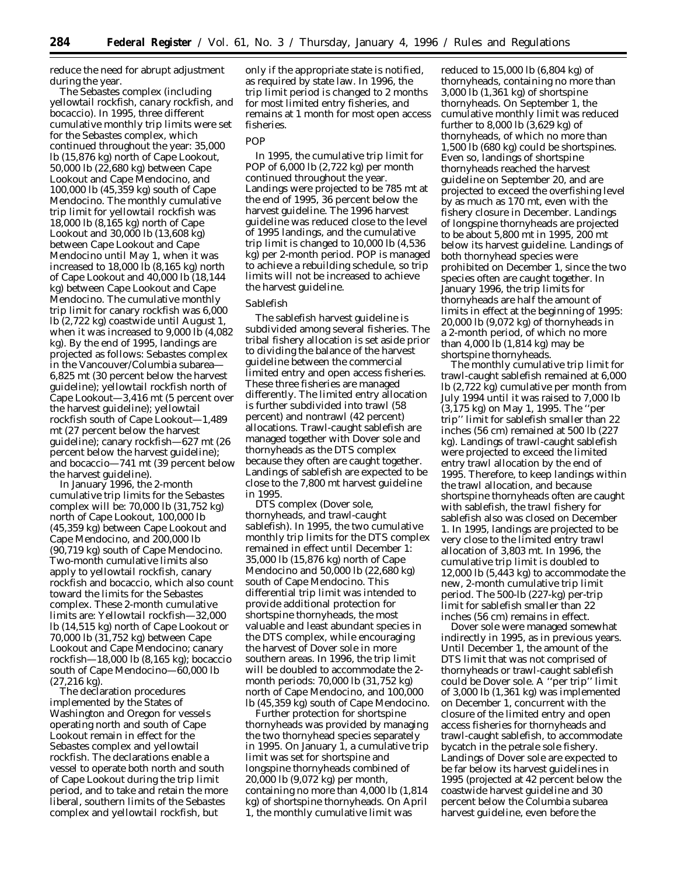reduce the need for abrupt adjustment during the year.

*The Sebastes complex (including yellowtail rockfish, canary rockfish, and bocaccio).* In 1995, three different cumulative monthly trip limits were set for the *Sebastes* complex, which continued throughout the year: 35,000 lb (15,876 kg) north of Cape Lookout, 50,000 lb (22,680 kg) between Cape Lookout and Cape Mendocino, and 100,000 lb (45,359 kg) south of Cape Mendocino. The monthly cumulative trip limit for yellowtail rockfish was 18,000 lb (8,165 kg) north of Cape Lookout and 30,000 lb (13,608 kg) between Cape Lookout and Cape Mendocino until May 1, when it was increased to 18,000 lb (8,165 kg) north of Cape Lookout and 40,000 lb (18,144 kg) between Cape Lookout and Cape Mendocino. The cumulative monthly trip limit for canary rockfish was 6,000 lb (2,722 kg) coastwide until August 1, when it was increased to 9,000 lb (4,082 kg). By the end of 1995, landings are projected as follows: *Sebastes* complex in the Vancouver/Columbia subarea— 6,825 mt (30 percent below the harvest guideline); yellowtail rockfish north of Cape Lookout—3,416 mt (5 percent over the harvest guideline); yellowtail rockfish south of Cape Lookout—1,489 mt (27 percent below the harvest guideline); canary rockfish—627 mt (26 percent below the harvest guideline); and bocaccio—741 mt (39 percent below the harvest guideline).

In January 1996, the 2-month cumulative trip limits for the *Sebastes* complex will be: 70,000 lb (31,752 kg) north of Cape Lookout, 100,000 lb (45,359 kg) between Cape Lookout and Cape Mendocino, and 200,000 lb (90,719 kg) south of Cape Mendocino. Two-month cumulative limits also apply to yellowtail rockfish, canary rockfish and bocaccio, which also count toward the limits for the *Sebastes* complex. These 2-month cumulative limits are: Yellowtail rockfish—32,000 lb (14,515 kg) north of Cape Lookout or 70,000 lb (31,752 kg) between Cape Lookout and Cape Mendocino; canary rockfish—18,000 lb (8,165 kg); bocaccio south of Cape Mendocino—60,000 lb (27,216 kg).

The declaration procedures implemented by the States of Washington and Oregon for vessels operating north and south of Cape Lookout remain in effect for the *Sebastes* complex and yellowtail rockfish. The declarations enable a vessel to operate both north and south of Cape Lookout during the trip limit period, and to take and retain the more liberal, southern limits of the *Sebastes* complex and yellowtail rockfish, but

only if the appropriate state is notified, as required by state law. In 1996, the trip limit period is changed to 2 months for most limited entry fisheries, and remains at 1 month for most open access fisheries.

#### *POP*

In 1995, the cumulative trip limit for POP of 6,000 lb (2,722 kg) per month continued throughout the year. Landings were projected to be 785 mt at the end of 1995, 36 percent below the harvest guideline. The 1996 harvest guideline was reduced close to the level of 1995 landings, and the cumulative trip limit is changed to 10,000 lb (4,536 kg) per 2-month period. POP is managed to achieve a rebuilding schedule, so trip limits will not be increased to achieve the harvest guideline.

## *Sablefish*

The sablefish harvest guideline is subdivided among several fisheries. The tribal fishery allocation is set aside prior to dividing the balance of the harvest guideline between the commercial limited entry and open access fisheries. These three fisheries are managed differently. The limited entry allocation is further subdivided into trawl (58 percent) and nontrawl (42 percent) allocations. Trawl-caught sablefish are managed together with Dover sole and thornyheads as the DTS complex because they often are caught together. Landings of sablefish are expected to be close to the 7,800 mt harvest guideline in 1995.

*DTS complex (Dover sole, thornyheads, and trawl-caught sablefish).* In 1995, the two cumulative monthly trip limits for the DTS complex remained in effect until December 1: 35,000 lb (15,876 kg) north of Cape Mendocino and 50,000 lb (22,680 kg) south of Cape Mendocino. This differential trip limit was intended to provide additional protection for shortspine thornyheads, the most valuable and least abundant species in the DTS complex, while encouraging the harvest of Dover sole in more southern areas. In 1996, the trip limit will be doubled to accommodate the 2 month periods: 70,000 lb (31,752 kg) north of Cape Mendocino, and 100,000 lb (45,359 kg) south of Cape Mendocino.

Further protection for shortspine thornyheads was provided by managing the two thornyhead species separately in 1995. On January 1, a cumulative trip limit was set for shortspine and longspine thornyheads combined of 20,000 lb (9,072 kg) per month, containing no more than 4,000 lb (1,814 kg) of shortspine thornyheads. On April 1, the monthly cumulative limit was

reduced to 15,000 lb (6,804 kg) of thornyheads, containing no more than 3,000 lb (1,361 kg) of shortspine thornyheads. On September 1, the cumulative monthly limit was reduced further to 8,000 lb (3,629 kg) of thornyheads, of which no more than 1,500 lb (680 kg) could be shortspines. Even so, landings of shortspine thornyheads reached the harvest guideline on September 20, and are projected to exceed the overfishing level by as much as 170 mt, even with the fishery closure in December. Landings of longspine thornyheads are projected to be about 5,800 mt in 1995, 200 mt below its harvest guideline. Landings of both thornyhead species were prohibited on December 1, since the two species often are caught together. In January 1996, the trip limits for thornyheads are half the amount of limits in effect at the beginning of 1995: 20,000 lb (9,072 kg) of thornyheads in a 2-month period, of which no more than 4,000 lb (1,814 kg) may be shortspine thornyheads.

The monthly cumulative trip limit for trawl-caught sablefish remained at 6,000 lb (2,722 kg) cumulative per month from July 1994 until it was raised to 7,000 lb (3,175 kg) on May 1, 1995. The ''per trip'' limit for sablefish smaller than 22 inches (56 cm) remained at 500 lb (227 kg). Landings of trawl-caught sablefish were projected to exceed the limited entry trawl allocation by the end of 1995. Therefore, to keep landings within the trawl allocation, and because shortspine thornyheads often are caught with sablefish, the trawl fishery for sablefish also was closed on December 1. In 1995, landings are projected to be very close to the limited entry trawl allocation of 3,803 mt. In 1996, the cumulative trip limit is doubled to 12,000 lb (5,443 kg) to accommodate the new, 2-month cumulative trip limit period. The 500-lb (227-kg) per-trip limit for sablefish smaller than 22 inches (56 cm) remains in effect.

Dover sole were managed somewhat indirectly in 1995, as in previous years. Until December 1, the amount of the DTS limit that was not comprised of thornyheads or trawl-caught sablefish could be Dover sole. A ''per trip'' limit of 3,000 lb (1,361 kg) was implemented on December 1, concurrent with the closure of the limited entry and open access fisheries for thornyheads and trawl-caught sablefish, to accommodate bycatch in the petrale sole fishery. Landings of Dover sole are expected to be far below its harvest guidelines in 1995 (projected at 42 percent below the coastwide harvest guideline and 30 percent below the Columbia subarea harvest guideline, even before the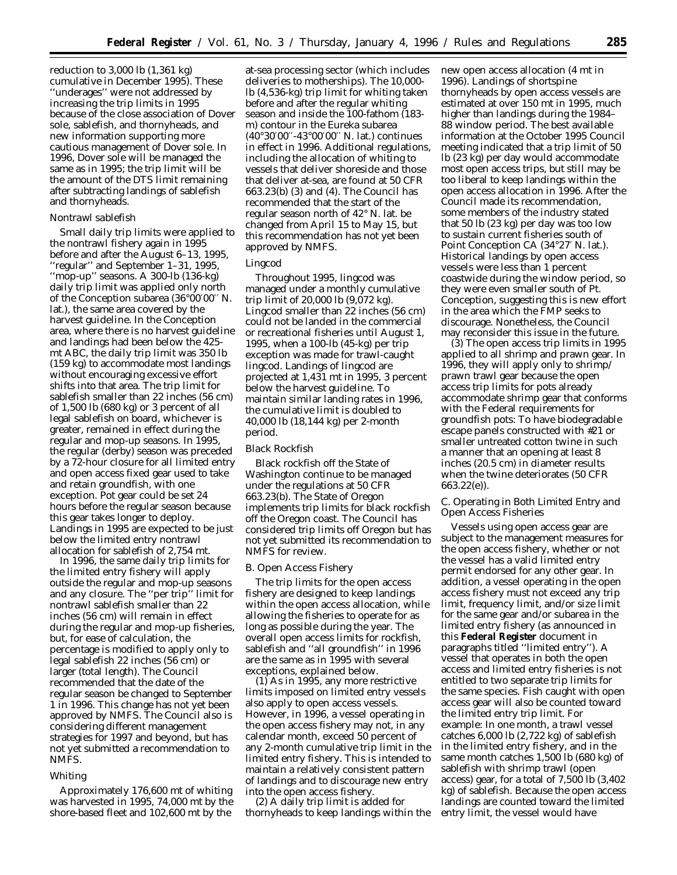reduction to 3,000 lb (1,361 kg) cumulative in December 1995). These ''underages'' were not addressed by increasing the trip limits in 1995 because of the close association of Dover sole, sablefish, and thornyheads, and new information supporting more cautious management of Dover sole. In 1996, Dover sole will be managed the same as in 1995; the trip limit will be the amount of the DTS limit remaining after subtracting landings of sablefish and thornyheads.

## *Nontrawl sablefish*

Small daily trip limits were applied to the nontrawl fishery again in 1995 before and after the August 6–13, 1995, ''regular'' and September 1–31, 1995, ''mop-up'' seasons. A 300-lb (136-kg) daily trip limit was applied only north of the Conception subarea (36°00′00′′ N. lat.), the same area covered by the harvest guideline. In the Conception area, where there is no harvest guideline and landings had been below the 425 mt ABC, the daily trip limit was 350 lb (159 kg) to accommodate most landings without encouraging excessive effort shifts into that area. The trip limit for sablefish smaller than 22 inches (56 cm) of 1,500 lb (680 kg) or 3 percent of all legal sablefish on board, whichever is greater, remained in effect during the regular and mop-up seasons. In 1995, the regular (derby) season was preceded by a 72-hour closure for all limited entry and open access fixed gear used to take and retain groundfish, with one exception. Pot gear could be set 24 hours before the regular season because this gear takes longer to deploy. Landings in 1995 are expected to be just below the limited entry nontrawl allocation for sablefish of 2,754 mt.

In 1996, the same daily trip limits for the limited entry fishery will apply outside the regular and mop-up seasons and any closure. The ''per trip'' limit for nontrawl sablefish smaller than 22 inches (56 cm) will remain in effect during the regular and mop-up fisheries, but, for ease of calculation, the percentage is modified to apply only to legal sablefish 22 inches (56 cm) or larger (total length). The Council recommended that the date of the regular season be changed to September 1 in 1996. This change has not yet been approved by NMFS. The Council also is considering different management strategies for 1997 and beyond, but has not yet submitted a recommendation to NMFS.

# *Whiting*

Approximately 176,600 mt of whiting was harvested in 1995, 74,000 mt by the shore-based fleet and 102,600 mt by the

at-sea processing sector (which includes deliveries to motherships). The 10,000 lb (4,536-kg) trip limit for whiting taken before and after the regular whiting season and inside the 100-fathom (183 m) contour in the Eureka subarea (40°30′00′′-43°00′00′′ N. lat.) continues in effect in 1996. Additional regulations, including the allocation of whiting to vessels that deliver shoreside and those that deliver at-sea, are found at 50 CFR 663.23(b) (3) and (4). The Council has recommended that the start of the regular season north of 42° N. lat. be changed from April 15 to May 15, but this recommendation has not yet been approved by NMFS.

#### *Lingcod*

Throughout 1995, lingcod was managed under a monthly cumulative trip limit of 20,000 lb (9,072 kg). Lingcod smaller than 22 inches (56 cm) could not be landed in the commercial or recreational fisheries until August 1, 1995, when a 100-lb (45-kg) per trip exception was made for trawl-caught lingcod. Landings of lingcod are projected at 1,431 mt in 1995, 3 percent below the harvest guideline. To maintain similar landing rates in 1996, the cumulative limit is doubled to 40,000 lb (18,144 kg) per 2-month period.

## *Black Rockfish*

Black rockfish off the State of Washington continue to be managed under the regulations at 50 CFR 663.23(b). The State of Oregon implements trip limits for black rockfish off the Oregon coast. The Council has considered trip limits off Oregon but has not yet submitted its recommendation to NMFS for review.

### *B. Open Access Fishery*

The trip limits for the open access fishery are designed to keep landings within the open access allocation, while allowing the fisheries to operate for as long as possible during the year. The overall open access limits for rockfish, sablefish and ''all groundfish'' in 1996 are the same as in 1995 with several exceptions, explained below.

(1) As in 1995, any more restrictive limits imposed on limited entry vessels also apply to open access vessels. However, in 1996, a vessel operating in the open access fishery may not, in any calendar month, exceed 50 percent of any 2-month cumulative trip limit in the limited entry fishery. This is intended to maintain a relatively consistent pattern of landings and to discourage new entry into the open access fishery.

(2) A daily trip limit is added for thornyheads to keep landings within the new open access allocation (4 mt in 1996). Landings of shortspine thornyheads by open access vessels are estimated at over 150 mt in 1995, much higher than landings during the 1984– 88 window period. The best available information at the October 1995 Council meeting indicated that a trip limit of 50 lb (23 kg) per day would accommodate most open access trips, but still may be too liberal to keep landings within the open access allocation in 1996. After the Council made its recommendation, some members of the industry stated that 50 lb (23 kg) per day was too low to sustain current fisheries south of Point Conception CA (34°27′ N. lat.). Historical landings by open access vessels were less than 1 percent coastwide during the window period, so they were even smaller south of Pt. Conception, suggesting this is new effort in the area which the FMP seeks to discourage. Nonetheless, the Council may reconsider this issue in the future.

(3) The open access trip limits in 1995 applied to all shrimp and prawn gear. In 1996, they will apply only to shrimp/ prawn trawl gear because the open access trip limits for pots already accommodate shrimp gear that conforms with the Federal requirements for groundfish pots: To have biodegradable escape panels constructed with #21 or smaller untreated cotton twine in such a manner that an opening at least 8 inches (20.5 cm) in diameter results when the twine deteriorates (50 CFR 663.22(e)).

# *C. Operating in Both Limited Entry and Open Access Fisheries*

Vessels using open access gear are subject to the management measures for the open access fishery, whether or not the vessel has a valid limited entry permit endorsed for any other gear. In addition, a vessel operating in the open access fishery must not exceed any trip limit, frequency limit, and/or size limit for the same gear and/or subarea in the limited entry fishery (as announced in this **Federal Register** document in paragraphs titled ''limited entry''). A vessel that operates in both the open access and limited entry fisheries is not entitled to two separate trip limits for the same species. Fish caught with open access gear will also be counted toward the limited entry trip limit. For example: In one month, a trawl vessel catches 6,000 lb (2,722 kg) of sablefish in the limited entry fishery, and in the same month catches 1,500 lb (680 kg) of sablefish with shrimp trawl (open access) gear, for a total of 7,500 lb (3,402 kg) of sablefish. Because the open access landings are counted toward the limited entry limit, the vessel would have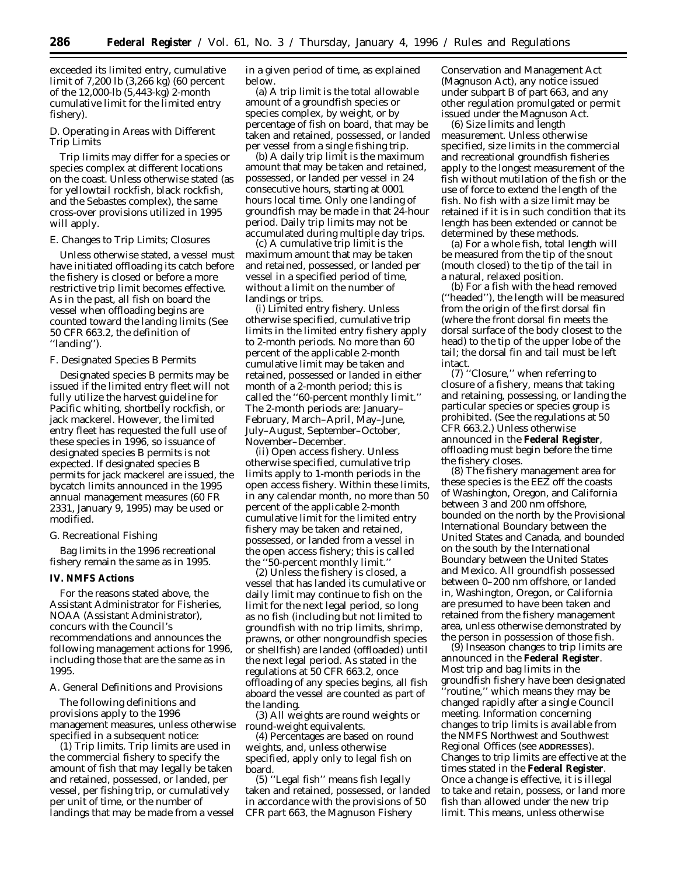exceeded its limited entry, cumulative limit of 7,200 lb (3,266 kg) (60 percent of the 12,000-lb (5,443-kg) 2-month cumulative limit for the limited entry fishery).

## *D. Operating in Areas with Different Trip Limits*

Trip limits may differ for a species or species complex at different locations on the coast. Unless otherwise stated (as for yellowtail rockfish, black rockfish, and the *Sebastes complex*), the same cross-over provisions utilized in 1995 will apply.

### *E. Changes to Trip Limits; Closures*

Unless otherwise stated, a vessel must have initiated offloading its catch before the fishery is closed or before a more restrictive trip limit becomes effective. As in the past, all fish on board the vessel when offloading begins are counted toward the landing limits (See 50 CFR 663.2, the definition of ''landing'').

### *F. Designated Species B Permits*

Designated species B permits may be issued if the limited entry fleet will not fully utilize the harvest guideline for Pacific whiting, shortbelly rockfish, or jack mackerel. However, the limited entry fleet has requested the full use of these species in 1996, so issuance of designated species B permits is not expected. If designated species B permits for jack mackerel are issued, the bycatch limits announced in the 1995 annual management measures (60 FR 2331, January 9, 1995) may be used or modified.

### *G. Recreational Fishing*

Bag limits in the 1996 recreational fishery remain the same as in 1995.

### **IV. NMFS Actions**

For the reasons stated above, the Assistant Administrator for Fisheries, NOAA (Assistant Administrator), concurs with the Council's recommendations and announces the following management actions for 1996, including those that are the same as in 1995.

#### *A. General Definitions and Provisions*

The following definitions and provisions apply to the 1996 management measures, unless otherwise specified in a subsequent notice:

(1) *Trip limits.* Trip limits are used in the commercial fishery to specify the amount of fish that may legally be taken and retained, possessed, or landed, per vessel, per fishing trip, or cumulatively per unit of time, or the number of landings that may be made from a vessel in a given period of time, as explained below.

(a) *A trip limit* is the total allowable amount of a groundfish species or species complex, by weight, or by percentage of fish on board, that may be taken and retained, possessed, or landed per vessel from a single fishing trip.

(b) *A daily trip limit* is the maximum amount that may be taken and retained, possessed, or landed per vessel in 24 consecutive hours, starting at 0001 hours local time. Only one landing of groundfish may be made in that 24-hour period. Daily trip limits may not be accumulated during multiple day trips.

(c) *A cumulative trip limit* is the maximum amount that may be taken and retained, possessed, or landed per vessel in a specified period of time, without a limit on the number of landings or trips.

(i) *Limited entry fishery.* Unless otherwise specified, cumulative trip limits in the limited entry fishery apply to 2-month periods. No more than 60 percent of the applicable 2-month cumulative limit may be taken and retained, possessed or landed in either month of a 2-month period; this is called the ''60-percent monthly limit.'' The 2-month periods are: January– February, March–April, May–June, July–August, September–October, November–December.

(ii) *Open access fishery.* Unless otherwise specified, cumulative trip limits apply to 1-month periods in the open access fishery. Within these limits, in any calendar month, no more than 50 percent of the applicable 2-month cumulative limit for the limited entry fishery may be taken and retained, possessed, or landed from a vessel in the open access fishery; this is called the ''50-percent monthly limit.''

(2) Unless the fishery is closed, a vessel that has landed its cumulative or daily limit may continue to fish on the limit for the next legal period, so long as no fish (including but not limited to groundfish with no trip limits, shrimp, prawns, or other nongroundfish species or shellfish) are landed (offloaded) until the next legal period. As stated in the regulations at 50 CFR 663.2, once offloading of any species begins, all fish aboard the vessel are counted as part of the landing.

(3) All weights are round weights or round-weight equivalents.

(4) Percentages are based on round weights, and, unless otherwise specified, apply only to legal fish on board.

(5) ''Legal fish'' means fish legally taken and retained, possessed, or landed in accordance with the provisions of 50 CFR part 663, the Magnuson Fishery

Conservation and Management Act (Magnuson Act), any notice issued under subpart B of part 663, and any other regulation promulgated or permit issued under the Magnuson Act.

(6) *Size limits and length measurement.* Unless otherwise specified, size limits in the commercial and recreational groundfish fisheries apply to the longest measurement of the fish without mutilation of the fish or the use of force to extend the length of the fish. No fish with a size limit may be retained if it is in such condition that its length has been extended or cannot be determined by these methods.

(a) For a whole fish, total length will be measured from the tip of the snout (mouth closed) to the tip of the tail in a natural, relaxed position.

(b) For a fish with the head removed (''headed''), the length will be measured from the origin of the first dorsal fin (where the front dorsal fin meets the dorsal surface of the body closest to the head) to the tip of the upper lobe of the tail; the dorsal fin and tail must be left intact.

(7) ''Closure,'' when referring to closure of a fishery, means that taking and retaining, possessing, or landing the particular species or species group is prohibited. (See the regulations at 50 CFR 663.2.) Unless otherwise announced in the **Federal Register**, offloading must begin before the time the fishery closes.

(8) The fishery management area for these species is the EEZ off the coasts of Washington, Oregon, and California between 3 and 200 nm offshore, bounded on the north by the Provisional International Boundary between the United States and Canada, and bounded on the south by the International Boundary between the United States and Mexico. All groundfish possessed between 0–200 nm offshore, or landed in, Washington, Oregon, or California are presumed to have been taken and retained from the fishery management area, unless otherwise demonstrated by the person in possession of those fish.

(9) Inseason changes to trip limits are announced in the **Federal Register**. Most trip and bag limits in the groundfish fishery have been designated ''routine,'' which means they may be changed rapidly after a single Council meeting. Information concerning changes to trip limits is available from the NMFS Northwest and Southwest Regional Offices (see **ADDRESSES**). Changes to trip limits are effective at the times stated in the **Federal Register**. Once a change is effective, it is illegal to take and retain, possess, or land more fish than allowed under the new trip limit. This means, unless otherwise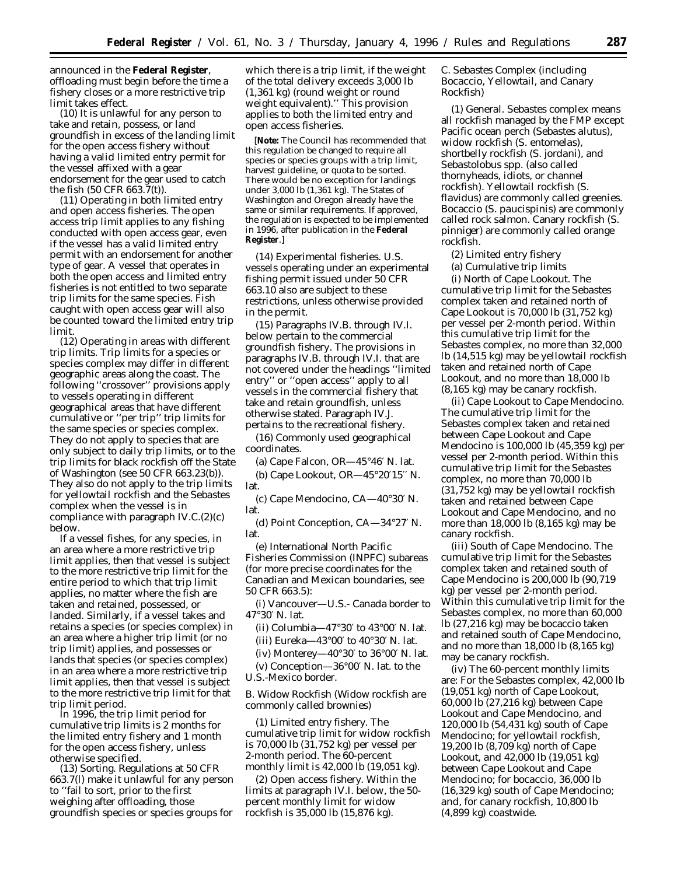announced in the **Federal Register**, offloading must begin before the time a fishery closes or a more restrictive trip limit takes effect.

(10) It is unlawful for any person to take and retain, possess, or land groundfish in excess of the landing limit for the open access fishery without having a valid limited entry permit for the vessel affixed with a gear endorsement for the gear used to catch the fish (50 CFR 663.7(t)).

(11) *Operating in both limited entry and open access fisheries.* The open access trip limit applies to any fishing conducted with open access gear, even if the vessel has a valid limited entry permit with an endorsement for another type of gear. A vessel that operates in both the open access and limited entry fisheries is not entitled to two separate trip limits for the same species. Fish caught with open access gear will also be counted toward the limited entry trip limit.

(12) *Operating in areas with different trip limits.* Trip limits for a species or species complex may differ in different geographic areas along the coast. The following ''crossover'' provisions apply to vessels operating in different geographical areas that have different cumulative or ''per trip'' trip limits for the same species or species complex. They do not apply to species that are only subject to daily trip limits, or to the trip limits for black rockfish off the State of Washington (see 50 CFR 663.23(b)). They also do not apply to the trip limits for yellowtail rockfish and the *Sebastes* complex when the vessel is in compliance with paragraph IV.C.(2)(c) below.

If a vessel fishes, for any species, in an area where a more restrictive trip limit applies, then that vessel is subject to the more restrictive trip limit for the entire period to which that trip limit applies, no matter where the fish are taken and retained, possessed, or landed. Similarly, if a vessel takes and retains a species (or species complex) in an area where a higher trip limit (or no trip limit) applies, and possesses or lands that species (or species complex) in an area where a more restrictive trip limit applies, then that vessel is subject to the more restrictive trip limit for that trip limit period.

In 1996, the trip limit period for cumulative trip limits is 2 months for the limited entry fishery and 1 month for the open access fishery, unless otherwise specified.

(13) *Sorting.* Regulations at 50 CFR 663.7(l) make it unlawful for any person to ''fail to sort, prior to the first weighing after offloading, those groundfish species or species groups for

which there is a trip limit, if the weight of the total delivery exceeds 3,000 lb (1,361 kg) (round weight or round weight equivalent).'' This provision applies to both the limited entry and open access fisheries.

[**Note:** The Council has recommended that this regulation be changed to require all species or species groups with a trip limit, harvest guideline, or quota to be sorted. There would be no exception for landings under 3,000 lb (1,361 kg). The States of Washington and Oregon already have the same or similar requirements. If approved, the regulation is expected to be implemented in 1996, after publication in the **Federal Register**.]

(14) *Experimental fisheries.* U.S. vessels operating under an experimental fishing permit issued under 50 CFR 663.10 also are subject to these restrictions, unless otherwise provided in the permit.

(15) Paragraphs IV.B. through IV.I. below pertain to the commercial groundfish fishery. The provisions in paragraphs IV.B. through IV.I. that are not covered under the headings ''limited entry'' or ''open access'' apply to all vessels in the commercial fishery that take and retain groundfish, unless otherwise stated. Paragraph IV.J. pertains to the recreational fishery.

(16) *Commonly used geographical coordinates.*

(a) Cape Falcon, OR—45°46′ N. lat. (b) Cape Lookout, OR—45°20′15′′ N. lat.

(c) Cape Mendocino, CA—40°30′ N. lat.

(d) Point Conception, CA—34°27′ N. lat.

(e) International North Pacific Fisheries Commission (INPFC) subareas (for more precise coordinates for the Canadian and Mexican boundaries, see 50 CFR 663.5):

(i) Vancouver—U.S.- Canada border to 47°30′ N. lat.

(ii) Columbia—47 $\degree$ 30' to 43 $\degree$ 00' N. lat.

- (iii) Eureka—43 $\degree$ 00' to 40 $\degree$ 30' N. lat.
- (iv) Monterey—40 $\degree 30'$  to 36 $\degree 00'$  N. lat.

(v) Conception—36°00′ N. lat. to the

U.S.-Mexico border.

## *B. Widow Rockfish (Widow rockfish are commonly called brownies)*

(1) *Limited entry fishery.* The cumulative trip limit for widow rockfish is 70,000 lb (31,752 kg) per vessel per 2-month period. The 60-percent monthly limit is 42,000 lb (19,051 kg).

(2) *Open access fishery.* Within the limits at paragraph IV.I. below, the 50 percent monthly limit for widow rockfish is 35,000 lb (15,876 kg).

# *C. Sebastes Complex (including Bocaccio, Yellowtail, and Canary Rockfish)*

(1) *General. Sebastes* complex means all rockfish managed by the FMP except Pacific ocean perch (*Sebastes alutus*), widow rockfish (*S. entomelas*), shortbelly rockfish (*S. jordani*), and *Sebastolobus* spp. (also called thornyheads, idiots, or channel rockfish). Yellowtail rockfish (*S. flavidus*) are commonly called greenies. Bocaccio (*S. paucispinis*) are commonly called rock salmon. Canary rockfish (*S. pinniger*) are commonly called orange rockfish.

(2) *Limited entry fishery*

(a) *Cumulative trip limits*

(i) *North of Cape Lookout.* The cumulative trip limit for the *Sebastes* complex taken and retained north of Cape Lookout is 70,000 lb (31,752 kg) per vessel per 2-month period. Within this cumulative trip limit for the *Sebastes* complex, no more than 32,000 lb (14,515 kg) may be yellowtail rockfish taken and retained north of Cape Lookout, and no more than 18,000 lb (8,165 kg) may be canary rockfish.

(ii) *Cape Lookout to Cape Mendocino.* The cumulative trip limit for the *Sebastes* complex taken and retained between Cape Lookout and Cape Mendocino is 100,000 lb (45,359 kg) per vessel per 2-month period. Within this cumulative trip limit for the *Sebastes* complex, no more than 70,000 lb (31,752 kg) may be yellowtail rockfish taken and retained between Cape Lookout and Cape Mendocino, and no more than 18,000 lb (8,165 kg) may be canary rockfish.

(iii) *South of Cape Mendocino.* The cumulative trip limit for the *Sebastes* complex taken and retained south of Cape Mendocino is 200,000 lb (90,719 kg) per vessel per 2-month period. Within this cumulative trip limit for the *Sebastes* complex, no more than 60,000 lb (27,216 kg) may be bocaccio taken and retained south of Cape Mendocino, and no more than 18,000 lb (8,165 kg) may be canary rockfish.

(iv) The 60-percent monthly limits are: For the *Sebastes complex, 42,000 lb (19,051 kg) north of Cape Lookout, 60,000 lb (27,216 kg) between Cape Lookout and Cape Mendocino, and 120,000 lb (54,431 kg) south of Cape Mendocino; for yellowtail rockfish, 19,200 lb (8,709 kg) north of Cape Lookout, and 42,000 lb (19,051 kg) between Cape Lookout and Cape Mendocino; for bocaccio, 36,000 lb (16,329 kg) south of Cape Mendocino; and, for canary rockfish, 10,800 lb (4,899 kg) coastwide.*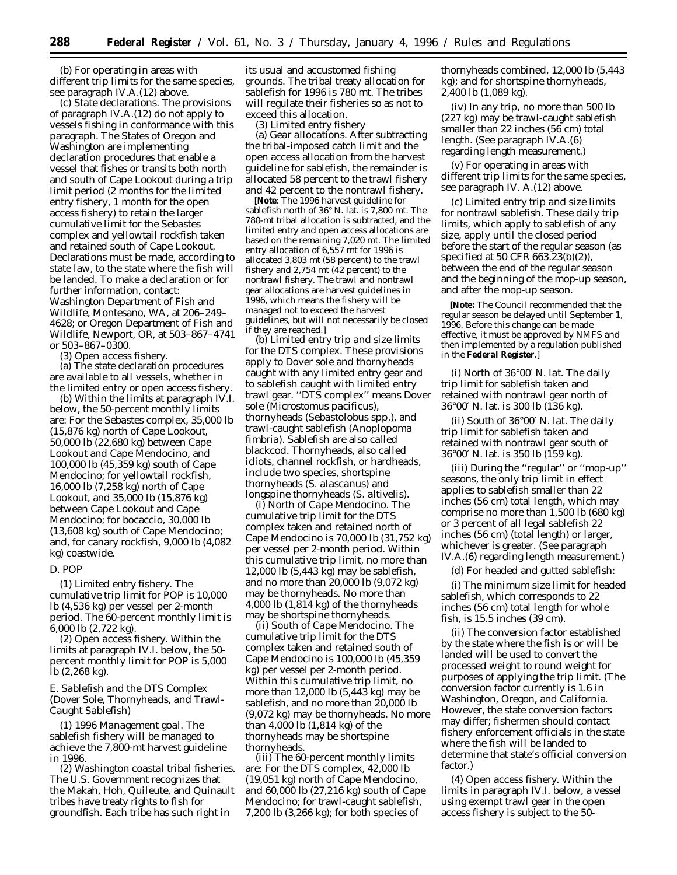(b) For operating in areas with different trip limits for the same species, see paragraph IV.A.(12) above.

(c) *State declarations.* The provisions of paragraph IV.A.(12) do not apply to vessels fishing in conformance with this paragraph. The States of Oregon and Washington are implementing declaration procedures that enable a vessel that fishes or transits both north and south of Cape Lookout during a trip limit period (2 months for the limited entry fishery, 1 month for the open access fishery) to retain the larger cumulative limit for the *Sebastes* complex and yellowtail rockfish taken and retained south of Cape Lookout. Declarations must be made, according to state law, to the state where the fish will be landed. To make a declaration or for further information, contact: Washington Department of Fish and Wildlife, Montesano, WA, at 206–249– 4628; or Oregon Department of Fish and Wildlife, Newport, OR, at 503–867–4741 or 503–867–0300.

(3) *Open access fishery.*

(a) The state declaration procedures are available to all vessels, whether in the limited entry or open access fishery.

(b) Within the limits at paragraph IV.I. below, the 50-percent monthly limits are: For the *Sebastes* complex, 35,000 lb (15,876 kg) north of Cape Lookout, 50,000 lb (22,680 kg) between Cape Lookout and Cape Mendocino, and 100,000 lb (45,359 kg) south of Cape Mendocino; for yellowtail rockfish, 16,000 lb (7,258 kg) north of Cape Lookout, and 35,000 lb (15,876 kg) between Cape Lookout and Cape Mendocino; for bocaccio, 30,000 lb (13,608 kg) south of Cape Mendocino; and, for canary rockfish, 9,000 lb (4,082 kg) coastwide.

# *D. POP*

(1) *Limited entry fishery.* The cumulative trip limit for POP is 10,000 lb (4,536 kg) per vessel per 2-month period. The 60-percent monthly limit is 6,000 lb (2,722 kg).

(2) *Open access fishery.* Within the limits at paragraph IV.I. below, the 50 percent monthly limit for POP is 5,000 lb (2,268 kg).

# *E. Sablefish and the DTS Complex (Dover Sole, Thornyheads, and Trawl-Caught Sablefish)*

(1) *1996 Management goal.* The sablefish fishery will be managed to achieve the 7,800-mt harvest guideline in 1996.

(2) *Washington coastal tribal fisheries.* The U.S. Government recognizes that the Makah, Hoh, Quileute, and Quinault tribes have treaty rights to fish for groundfish. Each tribe has such right in

its usual and accustomed fishing grounds. The tribal treaty allocation for sablefish for 1996 is 780 mt. The tribes will regulate their fisheries so as not to exceed this allocation.

(3) *Limited entry fishery*

(a) *Gear allocations.* After subtracting the tribal-imposed catch limit and the open access allocation from the harvest guideline for sablefish, the remainder is allocated 58 percent to the trawl fishery and 42 percent to the nontrawl fishery.

[**Note**: The 1996 harvest guideline for sablefish north of 36° N. lat. is 7,800 mt. The 780-mt tribal allocation is subtracted, and the limited entry and open access allocations are based on the remaining 7,020 mt. The limited entry allocation of 6,557 mt for 1996 is allocated 3,803 mt (58 percent) to the trawl fishery and 2,754 mt (42 percent) to the nontrawl fishery. The trawl and nontrawl gear allocations are harvest guidelines in 1996, which means the fishery will be managed not to exceed the harvest guidelines, but will not necessarily be closed if they are reached.]

(b) *Limited entry trip and size limits for the DTS complex.* These provisions apply to Dover sole and thornyheads caught with any limited entry gear and to sablefish caught with limited entry trawl gear. ''DTS complex'' means Dover sole (*Microstomus pacificus*), thornyheads (*Sebastolobus* spp.), and trawl-caught sablefish (*Anoplopoma fimbria*). Sablefish are also called blackcod. Thornyheads, also called idiots, channel rockfish, or hardheads, include two species, shortspine thornyheads (*S. alascanus*) and longspine thornyheads (*S. altivelis*).

(i) *North of Cape Mendocino.* The cumulative trip limit for the DTS complex taken and retained north of Cape Mendocino is 70,000 lb (31,752 kg) per vessel per 2-month period. Within this cumulative trip limit, no more than 12,000 lb (5,443 kg) may be sablefish, and no more than 20,000 lb (9,072 kg) may be thornyheads. No more than 4,000 lb (1,814 kg) of the thornyheads may be shortspine thornyheads.

(ii) *South of Cape Mendocino.* The cumulative trip limit for the DTS complex taken and retained south of Cape Mendocino is 100,000 lb (45,359 kg) per vessel per 2-month period. Within this cumulative trip limit, no more than 12,000 lb (5,443 kg) may be sablefish, and no more than 20,000 lb (9,072 kg) may be thornyheads. No more than 4,000 lb (1,814 kg) of the thornyheads may be shortspine thornyheads.

(iii) The 60-percent monthly limits are: For the DTS complex, 42,000 lb (19,051 kg) north of Cape Mendocino, and 60,000 lb (27,216 kg) south of Cape Mendocino; for trawl-caught sablefish, 7,200 lb (3,266 kg); for both species of

thornyheads combined, 12,000 lb (5,443 kg); and for shortspine thornyheads, 2,400 lb (1,089 kg).

(iv) In any trip, no more than 500 lb (227 kg) may be trawl-caught sablefish smaller than 22 inches (56 cm) total length. (See paragraph IV.A.(6) regarding length measurement.)

(v) For operating in areas with different trip limits for the same species, see paragraph IV. A.(12) above.

(c) *Limited entry trip and size limits for nontrawl sablefish.* These daily trip limits, which apply to sablefish of any size, apply until the closed period before the start of the regular season (as specified at 50 CFR 663.23(b)(2)), between the end of the regular season and the beginning of the mop-up season, and after the mop-up season.

**[Note:** The Council recommended that the regular season be delayed until September 1, 1996. Before this change can be made effective, it must be approved by NMFS and then implemented by a regulation published in the **Federal Register**.]

(i) *North of 36*°*00*′ *N. lat.* The daily trip limit for sablefish taken and retained with nontrawl gear north of 36°00′ N. lat. is 300 lb (136 kg).

(ii) *South of 36*°*00*′ *N. lat.* The daily trip limit for sablefish taken and retained with nontrawl gear south of 36°00′ N. lat. is 350 lb (159 kg).

(iii) During the ''regular'' or ''mop-up'' seasons, the only trip limit in effect applies to sablefish smaller than 22 inches (56 cm) total length, which may comprise no more than 1,500 lb (680 kg) or 3 percent of all legal sablefish 22 inches (56 cm) (total length) or larger, whichever is greater. (See paragraph IV.A.(6) regarding length measurement.)

(d) For headed and gutted sablefish:

(i) The minimum size limit for headed sablefish, which corresponds to 22 inches (56 cm) total length for whole fish, is 15.5 inches (39 cm).

(ii) The conversion factor established by the state where the fish is or will be landed will be used to convert the processed weight to round weight for purposes of applying the trip limit. (The conversion factor currently is 1.6 in Washington, Oregon, and California. However, the state conversion factors may differ; fishermen should contact fishery enforcement officials in the state where the fish will be landed to determine that state's official conversion factor.)

(4) *Open access fishery.* Within the limits in paragraph IV.I. below, a vessel using exempt trawl gear in the open access fishery is subject to the 50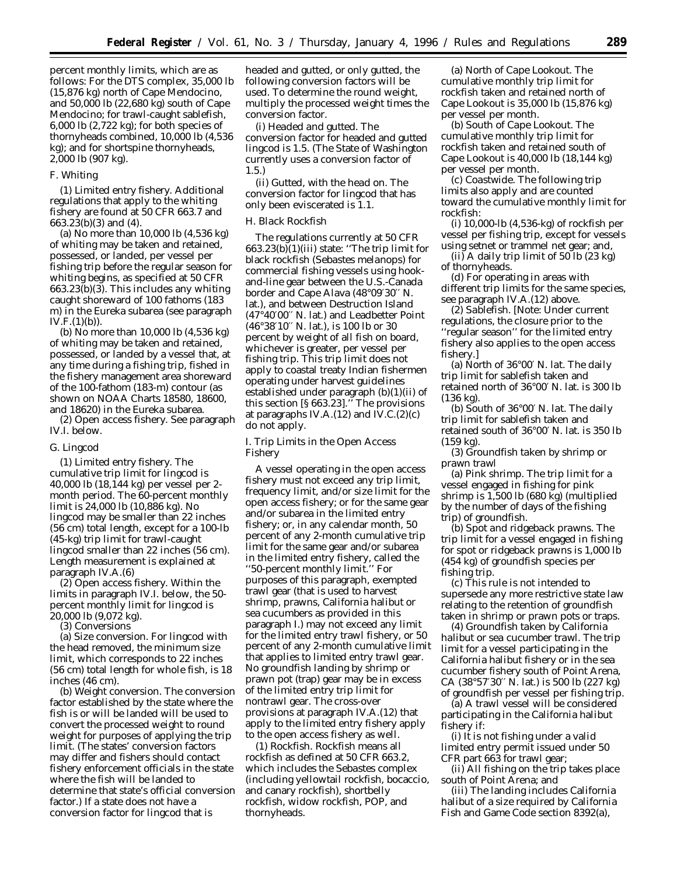percent monthly limits, which are as follows: For the DTS complex, 35,000 lb (15,876 kg) north of Cape Mendocino, and 50,000 lb (22,680 kg) south of Cape Mendocino; for trawl-caught sablefish, 6,000 lb (2,722 kg); for both species of thornyheads combined, 10,000 lb (4,536 kg); and for shortspine thornyheads, 2,000 lb (907 kg).

## *F. Whiting*

(1) *Limited entry fishery.* Additional regulations that apply to the whiting fishery are found at 50 CFR 663.7 and 663.23(b)(3) and (4).

(a) No more than 10,000 lb (4,536 kg) of whiting may be taken and retained, possessed, or landed, per vessel per fishing trip before the regular season for whiting begins, as specified at 50 CFR 663.23(b)(3). This includes any whiting caught shoreward of 100 fathoms (183 m) in the Eureka subarea (see paragraph  $IV.F.(1)(b)$ ).

(b) No more than 10,000 lb (4,536 kg) of whiting may be taken and retained, possessed, or landed by a vessel that, at any time during a fishing trip, fished in the fishery management area shoreward of the 100-fathom (183-m) contour (as shown on NOAA Charts 18580, 18600, and 18620) in the Eureka subarea.

(2) *Open access fishery.* See paragraph IV.I. below.

#### *G. Lingcod*

(1) *Limited entry fishery.* The cumulative trip limit for lingcod is 40,000 lb (18,144 kg) per vessel per 2 month period. The 60-percent monthly limit is 24,000 lb (10,886 kg). No lingcod may be smaller than 22 inches (56 cm) total length, except for a 100-lb (45-kg) trip limit for trawl-caught lingcod smaller than 22 inches (56 cm). Length measurement is explained at paragraph IV.A.(6)

(2) *Open access fishery.* Within the limits in paragraph IV.I. below, the 50 percent monthly limit for lingcod is 20,000 lb (9,072 kg).

(3) *Conversions*

(a) *Size conversion.* For lingcod with the head removed, the minimum size limit, which corresponds to 22 inches (56 cm) total length for whole fish, is 18 inches (46 cm).

(b) *Weight conversion.* The conversion factor established by the state where the fish is or will be landed will be used to convert the processed weight to round weight for purposes of applying the trip limit. (The states' conversion factors may differ and fishers should contact fishery enforcement officials in the state where the fish will be landed to determine that state's official conversion factor.) If a state does not have a conversion factor for lingcod that is

headed and gutted, or only gutted, the following conversion factors will be used. To determine the round weight, multiply the processed weight times the conversion factor.

(i) *Headed and gutted.* The conversion factor for headed and gutted lingcod is 1.5. (The State of Washington currently uses a conversion factor of 1.5.)

(ii) *Gutted, with the head on.* The conversion factor for lingcod that has only been eviscerated is 1.1.

### *H. Black Rockfish*

The regulations currently at 50 CFR 663.23(b)(1)(iii) state: ''The trip limit for black rockfish (*Sebastes melanops*) for commercial fishing vessels using hookand-line gear between the U.S.-Canada border and Cape Alava (48°09′30′′ N. lat.), and between Destruction Island (47°40′00′′ N. lat.) and Leadbetter Point (46°38′10′′ N. lat.), is 100 lb or 30 percent by weight of all fish on board, whichever is greater, per vessel per fishing trip. This trip limit does not apply to coastal treaty Indian fishermen operating under harvest guidelines established under paragraph (b)(1)(ii) of this section [§ 663.23].'' The provisions at paragraphs IV.A.(12) and IV.C.(2)(c) do not apply.

### *I. Trip Limits in the Open Access Fishery*

A vessel operating in the open access fishery must not exceed any trip limit, frequency limit, and/or size limit for the open access fishery; or for the same gear and/or subarea in the limited entry fishery; or, in any calendar month, 50 percent of any 2-month cumulative trip limit for the same gear and/or subarea in the limited entry fishery, called the ''50-percent monthly limit.'' For purposes of this paragraph, exempted trawl gear (that is used to harvest shrimp, prawns, California halibut or sea cucumbers as provided in this paragraph I.) may not exceed any limit for the limited entry trawl fishery, or 50 percent of any 2-month cumulative limit that applies to limited entry trawl gear. No groundfish landing by shrimp or prawn pot (trap) gear may be in excess of the limited entry trip limit for nontrawl gear. The cross-over provisions at paragraph IV.A.(12) that apply to the limited entry fishery apply to the open access fishery as well.

(1) *Rockfish.* Rockfish means all rockfish as defined at 50 CFR 663.2, which includes the *Sebastes* complex (including yellowtail rockfish, bocaccio, and canary rockfish), shortbelly rockfish, widow rockfish, POP, and thornyheads.

(a) *North of Cape Lookout.* The cumulative monthly trip limit for rockfish taken and retained north of Cape Lookout is 35,000 lb (15,876 kg) per vessel per month.

(b) *South of Cape Lookout.* The cumulative monthly trip limit for rockfish taken and retained south of Cape Lookout is 40,000 lb (18,144 kg) per vessel per month.

(c) *Coastwide.* The following trip limits also apply and are counted toward the cumulative monthly limit for rockfish:

(i) 10,000-lb (4,536-kg) of rockfish per vessel per fishing trip, except for vessels using setnet or trammel net gear; and,

 $(ii)$  A daily trip limit of 50 lb (23 kg) of thornyheads.

(d) For operating in areas with different trip limits for the same species, see paragraph IV.A.(12) above.

(2) *Sablefish.* [*Note*: Under current regulations, the closure prior to the ''regular season'' for the limited entry fishery also applies to the open access fishery.]

(a) *North of 36*°*00*′ *N. lat.* The daily trip limit for sablefish taken and retained north of 36°00′ N. lat. is 300 lb (136 kg).

(b) *South of 36*°*00*′ *N. lat.* The daily trip limit for sablefish taken and retained south of 36°00′ N. lat. is 350 lb (159 kg).

(3) *Groundfish taken by shrimp or prawn trawl*

(a) *Pink shrimp.* The trip limit for a vessel engaged in fishing for pink shrimp is 1,500 lb (680 kg) (multiplied by the number of days of the fishing trip) of groundfish.

(b) *Spot and ridgeback prawns.* The trip limit for a vessel engaged in fishing for spot or ridgeback prawns is 1,000 lb (454 kg) of groundfish species per fishing trip.

(c) This rule is not intended to supersede any more restrictive state law relating to the retention of groundfish taken in shrimp or prawn pots or traps.

(4) *Groundfish taken by California halibut or sea cucumber trawl.* The trip limit for a vessel participating in the California halibut fishery or in the sea cucumber fishery south of Point Arena, CA (38°57′30′′ N. lat.) is 500 lb (227 kg) of groundfish per vessel per fishing trip.

(a) A trawl vessel will be considered participating in the California halibut fishery if:

(i) It is not fishing under a valid limited entry permit issued under 50 CFR part 663 for trawl gear;

(ii) All fishing on the trip takes place south of Point Arena; and

(iii) The landing includes California halibut of a size required by California Fish and Game Code section 8392(a),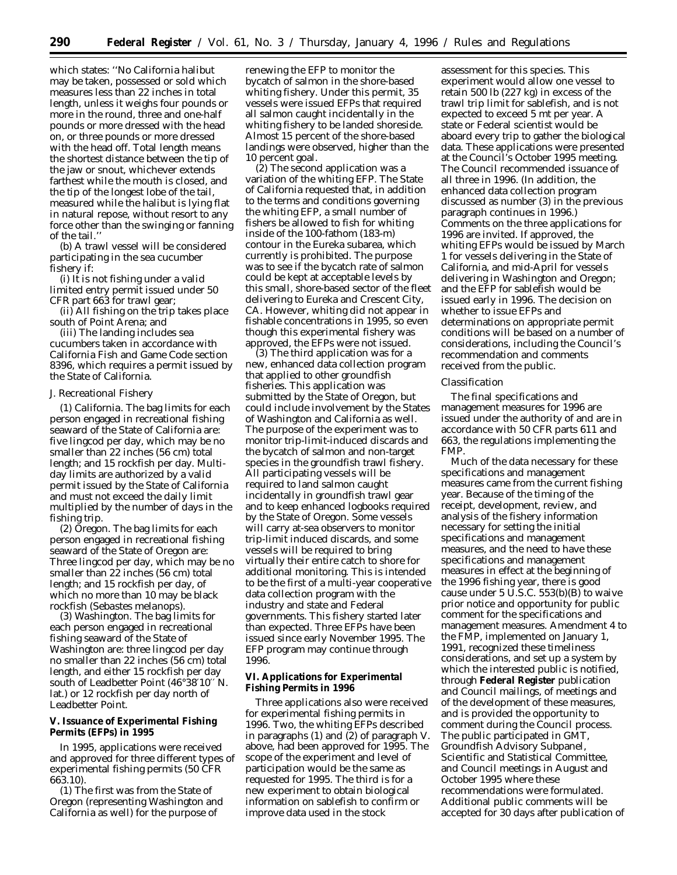which states: ''No California halibut may be taken, possessed or sold which measures less than 22 inches in total length, unless it weighs four pounds or more in the round, three and one-half pounds or more dressed with the head on, or three pounds or more dressed with the head off. Total length means the shortest distance between the tip of the jaw or snout, whichever extends farthest while the mouth is closed, and the tip of the longest lobe of the tail, measured while the halibut is lying flat in natural repose, without resort to any force other than the swinging or fanning of the tail.''

(b) A trawl vessel will be considered participating in the sea cucumber fishery if:

(i) It is not fishing under a valid limited entry permit issued under 50 CFR part 663 for trawl gear;

(ii) All fishing on the trip takes place south of Point Arena; and

(iii) The landing includes sea cucumbers taken in accordance with California Fish and Game Code section 8396, which requires a permit issued by the State of California.

### *J. Recreational Fishery*

(1) *California.* The bag limits for each person engaged in recreational fishing seaward of the State of California are: five lingcod per day, which may be no smaller than 22 inches (56 cm) total length; and 15 rockfish per day. Multiday limits are authorized by a valid permit issued by the State of California and must not exceed the daily limit multiplied by the number of days in the fishing trip.

(2) *Oregon.* The bag limits for each person engaged in recreational fishing seaward of the State of Oregon are: Three lingcod per day, which may be no smaller than 22 inches (56 cm) total length; and 15 rockfish per day, of which no more than 10 may be black rockfish (*Sebastes melanops*).

(3) *Washington.* The bag limits for each person engaged in recreational fishing seaward of the State of Washington are: three lingcod per day no smaller than 22 inches (56 cm) total length, and either 15 rockfish per day south of Leadbetter Point (46°38′10′′ N. lat.) or 12 rockfish per day north of Leadbetter Point.

**V. Issuance of Experimental Fishing Permits (EFPs) in 1995**

In 1995, applications were received and approved for three different types of experimental fishing permits (50 CFR 663.10).

(1) The first was from the State of Oregon (representing Washington and California as well) for the purpose of

renewing the EFP to monitor the bycatch of salmon in the shore-based whiting fishery. Under this permit, 35 vessels were issued EFPs that required all salmon caught incidentally in the whiting fishery to be landed shoreside. Almost 15 percent of the shore-based landings were observed, higher than the 10 percent goal.

(2) The second application was a variation of the whiting EFP. The State of California requested that, in addition to the terms and conditions governing the whiting EFP, a small number of fishers be allowed to fish for whiting inside of the 100-fathom (183-m) contour in the Eureka subarea, which currently is prohibited. The purpose was to see if the bycatch rate of salmon could be kept at acceptable levels by this small, shore-based sector of the fleet delivering to Eureka and Crescent City, CA. However, whiting did not appear in fishable concentrations in 1995, so even though this experimental fishery was approved, the EFPs were not issued.

(3) The third application was for a new, enhanced data collection program that applied to other groundfish fisheries. This application was submitted by the State of Oregon, but could include involvement by the States of Washington and California as well. The purpose of the experiment was to monitor trip-limit-induced discards and the bycatch of salmon and non-target species in the groundfish trawl fishery. All participating vessels will be required to land salmon caught incidentally in groundfish trawl gear and to keep enhanced logbooks required by the State of Oregon. Some vessels will carry at-sea observers to monitor trip-limit induced discards, and some vessels will be required to bring virtually their entire catch to shore for additional monitoring. This is intended to be the first of a multi-year cooperative data collection program with the industry and state and Federal governments. This fishery started later than expected. Three EFPs have been issued since early November 1995. The EFP program may continue through 1996.

## **VI. Applications for Experimental Fishing Permits in 1996**

Three applications also were received for experimental fishing permits in 1996. Two, the whiting EFPs described in paragraphs (1) and (2) of paragraph V. above, had been approved for 1995. The scope of the experiment and level of participation would be the same as requested for 1995. The third is for a new experiment to obtain biological information on sablefish to confirm or improve data used in the stock

assessment for this species. This experiment would allow one vessel to retain 500 lb (227 kg) in excess of the trawl trip limit for sablefish, and is not expected to exceed 5 mt per year. A state or Federal scientist would be aboard every trip to gather the biological data. These applications were presented at the Council's October 1995 meeting. The Council recommended issuance of all three in 1996. (In addition, the enhanced data collection program discussed as number (3) in the previous paragraph continues in 1996.) Comments on the three applications for 1996 are invited. If approved, the whiting EFPs would be issued by March 1 for vessels delivering in the State of California, and mid-April for vessels delivering in Washington and Oregon; and the EFP for sablefish would be issued early in 1996. The decision on whether to issue EFPs and determinations on appropriate permit conditions will be based on a number of considerations, including the Council's recommendation and comments received from the public.

#### *Classification*

The final specifications and management measures for 1996 are issued under the authority of and are in accordance with 50 CFR parts 611 and 663, the regulations implementing the FMP.

Much of the data necessary for these specifications and management measures came from the current fishing year. Because of the timing of the receipt, development, review, and analysis of the fishery information necessary for setting the initial specifications and management measures, and the need to have these specifications and management measures in effect at the beginning of the 1996 fishing year, there is good cause under 5 U.S.C.  $553(b)(B)$  to waive prior notice and opportunity for public comment for the specifications and management measures. Amendment 4 to the FMP, implemented on January 1, 1991, recognized these timeliness considerations, and set up a system by which the interested public is notified, through **Federal Register** publication and Council mailings, of meetings and of the development of these measures, and is provided the opportunity to comment during the Council process. The public participated in GMT, Groundfish Advisory Subpanel, Scientific and Statistical Committee, and Council meetings in August and October 1995 where these recommendations were formulated. Additional public comments will be accepted for 30 days after publication of